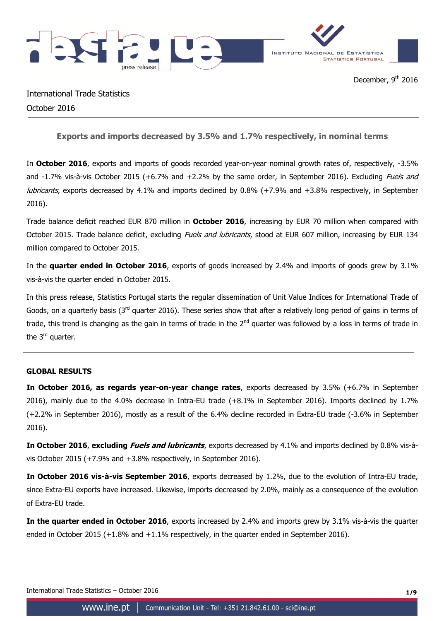



International Trade Statistics October 2016

**Exports and imports decreased by 3.5% and 1.7% respectively, in nominal terms**

In **October 2016**, exports and imports of goods recorded year-on-year nominal growth rates of, respectively, -3.5% and -1.7% vis-à-vis October 2015 (+6.7% and +2.2% by the same order, in September 2016). Excluding *Fuels and* lubricants, exports decreased by 4.1% and imports declined by 0.8% (+7.9% and +3.8% respectively, in September 2016).

Trade balance deficit reached EUR 870 million in **October 2016**, increasing by EUR 70 million when compared with October 2015. Trade balance deficit, excluding Fuels and lubricants, stood at EUR 607 million, increasing by EUR 134 million compared to October 2015.

In the **quarter ended in October 2016**, exports of goods increased by 2.4% and imports of goods grew by 3.1% vis-à-vis the quarter ended in October 2015.

In this press release, Statistics Portugal starts the regular dissemination of Unit Value Indices for International Trade of Goods, on a quarterly basis (3<sup>rd</sup> quarter 2016). These series show that after a relatively long period of gains in terms of trade, this trend is changing as the gain in terms of trade in the  $2^{nd}$  quarter was followed by a loss in terms of trade in the 3<sup>rd</sup> quarter.

# **GLOBAL RESULTS**

**In October 2016, as regards year-on-year change rates**, exports decreased by 3.5% (+6.7% in September 2016), mainly due to the 4.0% decrease in Intra-EU trade (+8.1% in September 2016). Imports declined by 1.7% (+2.2% in September 2016), mostly as a result of the 6.4% decline recorded in Extra-EU trade (-3.6% in September 2016).

**In October 2016**, **excluding Fuels and lubricants**, exports decreased by 4.1% and imports declined by 0.8% vis-àvis October 2015 (+7.9% and +3.8% respectively, in September 2016).

**In October 2016 vis-à-vis September 2016**, exports decreased by 1.2%, due to the evolution of Intra-EU trade, since Extra-EU exports have increased. Likewise, imports decreased by 2.0%, mainly as a consequence of the evolution of Extra-EU trade.

**In the quarter ended in October 2016**, exports increased by 2.4% and imports grew by 3.1% vis-à-vis the quarter ended in October 2015 (+1.8% and +1.1% respectively, in the quarter ended in September 2016).

International Trade Statistics – October 2016 **1/9**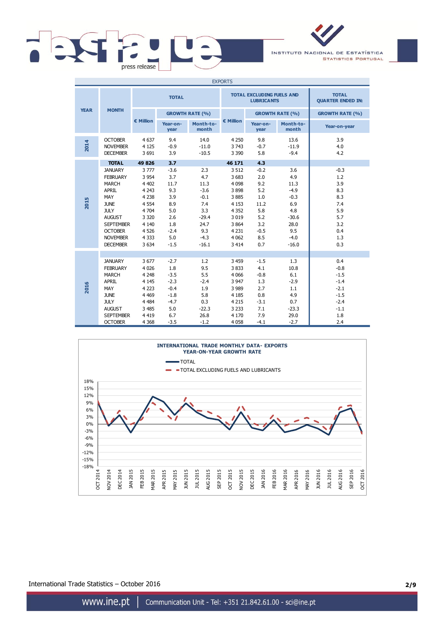

INSTITUTO NACIONAL DE ESTATÍSTICA **STATISTICS PORTUGAL** 

| <b>EXPORTS</b> |                                                                                                                                                                                                     |                                                                                                                               |                                                                                            |                                                                                                     |                                                                                                                           |                                                                                         |                                                                                                     |                                                                                         |
|----------------|-----------------------------------------------------------------------------------------------------------------------------------------------------------------------------------------------------|-------------------------------------------------------------------------------------------------------------------------------|--------------------------------------------------------------------------------------------|-----------------------------------------------------------------------------------------------------|---------------------------------------------------------------------------------------------------------------------------|-----------------------------------------------------------------------------------------|-----------------------------------------------------------------------------------------------------|-----------------------------------------------------------------------------------------|
|                | <b>TOTAL</b>                                                                                                                                                                                        |                                                                                                                               |                                                                                            | <b>TOTAL EXCLUDING FUELS AND</b><br><b>LUBRICANTS</b>                                               | <b>TOTAL</b><br><b>QUARTER ENDED IN:</b>                                                                                  |                                                                                         |                                                                                                     |                                                                                         |
| <b>YEAR</b>    | <b>MONTH</b>                                                                                                                                                                                        |                                                                                                                               |                                                                                            | <b>GROWTH RATE (%)</b>                                                                              |                                                                                                                           |                                                                                         | <b>GROWTH RATE (%)</b>                                                                              | <b>GROWTH RATE (%)</b>                                                                  |
|                |                                                                                                                                                                                                     | € Million                                                                                                                     | Year-on-<br>year                                                                           | Month-to-<br>month                                                                                  | € Million                                                                                                                 | Year-on-<br>year                                                                        | Month-to-<br>month                                                                                  | Year-on-year                                                                            |
| 2014           | <b>OCTOBER</b><br><b>NOVEMBER</b><br><b>DECEMBER</b>                                                                                                                                                | 4 6 3 7<br>4 1 2 5<br>3 6 9 1                                                                                                 | 9.4<br>$-0.9$<br>3.9                                                                       | 14.0<br>$-11.0$<br>$-10.5$                                                                          | 4 2 5 0<br>3 7 4 3<br>3 3 9 0                                                                                             | 9.8<br>$-0.7$<br>5.8                                                                    | 13.6<br>$-11.9$<br>$-9.4$                                                                           | 3.9<br>4.0<br>4.2                                                                       |
|                | <b>TOTAL</b>                                                                                                                                                                                        | 49826                                                                                                                         | 3.7                                                                                        |                                                                                                     | 46 171                                                                                                                    | 4.3                                                                                     |                                                                                                     |                                                                                         |
| 2015           | <b>JANUARY</b><br><b>FEBRUARY</b><br><b>MARCH</b><br><b>APRIL</b><br>MAY<br><b>JUNE</b><br><b>JULY</b><br><b>AUGUST</b><br><b>SEPTEMBER</b><br><b>OCTOBER</b><br><b>NOVEMBER</b><br><b>DECEMBER</b> | 3777<br>3 9 5 4<br>4 4 0 2<br>4 2 4 3<br>4 2 3 8<br>4 5 5 4<br>4 7 0 4<br>3 3 2 0<br>4 1 4 0<br>4 5 2 6<br>4 3 3 3<br>3 6 3 4 | $-3.6$<br>3.7<br>11.7<br>9.3<br>3.9<br>8.9<br>5.0<br>2.6<br>1.8<br>$-2.4$<br>5.0<br>$-1.5$ | 2.3<br>4.7<br>11.3<br>$-3.6$<br>$-0.1$<br>7.4<br>3.3<br>$-29.4$<br>24.7<br>9.3<br>$-4.3$<br>$-16.1$ | 3 5 1 2<br>3 6 8 3<br>4 0 9 8<br>3898<br>3885<br>4 1 5 3<br>4 3 5 2<br>3 0 1 9<br>3 8 6 4<br>4 2 3 1<br>4 0 62<br>3 4 1 4 | $-0.2$<br>2.0<br>9.2<br>5.2<br>1.0<br>11.2<br>5.8<br>5.2<br>3.2<br>$-0.5$<br>8.5<br>0.7 | 3.6<br>4.9<br>11.3<br>$-4.9$<br>$-0.3$<br>6.9<br>4.8<br>$-30.6$<br>28.0<br>9.5<br>$-4.0$<br>$-16.0$ | $-0.3$<br>1.2<br>3.9<br>8.3<br>8.3<br>7.4<br>5.9<br>5.7<br>3.2<br>0.4<br>1.3<br>0.3     |
| 2016           | <b>JANUARY</b><br><b>FEBRUARY</b><br><b>MARCH</b><br><b>APRIL</b><br>MAY<br><b>JUNE</b><br><b>JULY</b><br><b>AUGUST</b><br><b>SEPTEMBER</b><br><b>OCTOBER</b>                                       | 3677<br>4 0 2 6<br>4 2 4 8<br>4 1 4 5<br>4 2 2 3<br>4 4 6 9<br>4 4 8 4<br>3 4 8 5<br>4 4 1 9<br>4 3 6 8                       | $-2.7$<br>1.8<br>$-3.5$<br>$-2.3$<br>$-0.4$<br>$-1.8$<br>$-4.7$<br>5.0<br>6.7<br>$-3.5$    | 1.2<br>9.5<br>5.5<br>$-2.4$<br>1.9<br>5.8<br>0.3<br>$-22.3$<br>26.8<br>$-1.2$                       | 3 4 5 9<br>3833<br>4 0 6 6<br>3 9 4 7<br>3 9 8 9<br>4 1 8 5<br>4 2 1 5<br>3 2 3 3<br>4 1 7 0<br>4 0 5 8                   | $-1.5$<br>4.1<br>$-0.8$<br>1.3<br>2.7<br>0.8<br>$-3.1$<br>7.1<br>7.9<br>$-4.1$          | 1.3<br>10.8<br>6.1<br>$-2.9$<br>1.1<br>4.9<br>0.7<br>$-23.3$<br>29.0<br>$-2.7$                      | 0.4<br>$-0.8$<br>$-1.5$<br>$-1.4$<br>$-2.1$<br>$-1.5$<br>$-2.4$<br>$-1.1$<br>1.8<br>2.4 |



International Trade Statistics – October 2016 **2/9**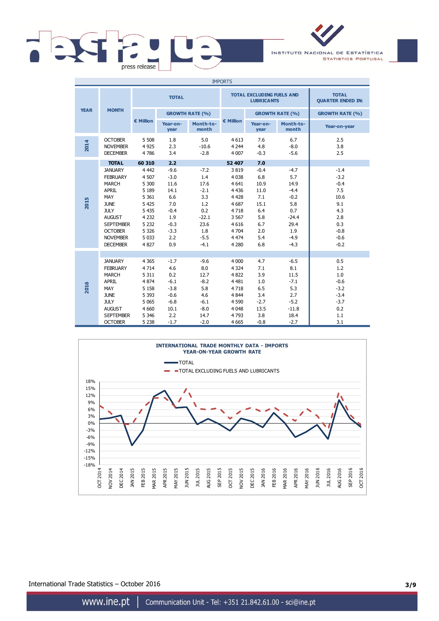

INSTITUTO NACIONAL DE ESTATÍSTICA **STATISTICS PORTUGAL** 

| <b>IMPORTS</b> |                                                                                                                                                                                                     |                                                                                                                             |                                                                                                   |                                                                                                    |                                                                                                                         |                                                                                        |                                                                                                       |                                                                                                     |
|----------------|-----------------------------------------------------------------------------------------------------------------------------------------------------------------------------------------------------|-----------------------------------------------------------------------------------------------------------------------------|---------------------------------------------------------------------------------------------------|----------------------------------------------------------------------------------------------------|-------------------------------------------------------------------------------------------------------------------------|----------------------------------------------------------------------------------------|-------------------------------------------------------------------------------------------------------|-----------------------------------------------------------------------------------------------------|
|                |                                                                                                                                                                                                     | <b>TOTAL</b>                                                                                                                |                                                                                                   |                                                                                                    |                                                                                                                         | <b>TOTAL EXCLUDING FUELS AND</b><br><b>LUBRICANTS</b>                                  | <b>TOTAL</b><br><b>QUARTER ENDED IN:</b>                                                              |                                                                                                     |
| <b>YEAR</b>    | <b>MONTH</b>                                                                                                                                                                                        |                                                                                                                             |                                                                                                   | <b>GROWTH RATE (%)</b>                                                                             |                                                                                                                         |                                                                                        | <b>GROWTH RATE (%)</b>                                                                                | <b>GROWTH RATE (%)</b>                                                                              |
|                |                                                                                                                                                                                                     | € Million                                                                                                                   | Year-on-<br>year                                                                                  | Month-to-<br>month                                                                                 | € Million                                                                                                               | Year-on-<br>year                                                                       | Month-to-<br>month                                                                                    | Year-on-year                                                                                        |
| 2014           | <b>OCTOBER</b><br><b>NOVEMBER</b><br><b>DECEMBER</b>                                                                                                                                                | 5 5 0 8<br>4 9 2 5<br>4786                                                                                                  | 1.8<br>2.3<br>3.4                                                                                 | 5.0<br>$-10.6$<br>$-2.8$                                                                           | 4 6 1 3<br>4 2 4 4<br>4 0 0 7                                                                                           | 7.6<br>4.8<br>$-0.3$                                                                   | 6.7<br>$-8.0$<br>$-5.6$                                                                               | 2.5<br>3.8<br>2.5                                                                                   |
|                | <b>TOTAL</b>                                                                                                                                                                                        | 60 310                                                                                                                      | 2.2                                                                                               |                                                                                                    | 52 407                                                                                                                  | 7.0                                                                                    |                                                                                                       |                                                                                                     |
| 2015           | <b>JANUARY</b><br><b>FEBRUARY</b><br><b>MARCH</b><br><b>APRIL</b><br>MAY<br><b>JUNE</b><br><b>JULY</b><br><b>AUGUST</b><br><b>SEPTEMBER</b><br><b>OCTOBER</b><br><b>NOVEMBER</b><br><b>DECEMBER</b> | 4 4 4 2<br>4 5 0 7<br>5 300<br>5 1 8 9<br>5 3 6 1<br>5 4 2 5<br>5 4 3 5<br>4 2 3 2<br>5 2 3 2<br>5 3 2 6<br>5 0 3 3<br>4827 | $-9.6$<br>$-3.0$<br>11.6<br>14.1<br>6.6<br>7.0<br>$-0.4$<br>1.9<br>$-0.3$<br>$-3.3$<br>2.2<br>0.9 | $-7.2$<br>1.4<br>17.6<br>$-2.1$<br>3.3<br>1.2<br>0.2<br>$-22.1$<br>23.6<br>1.8<br>$-5.5$<br>$-4.1$ | 3819<br>4 0 38<br>4 6 4 1<br>4 4 3 6<br>4 4 2 8<br>4 6 8 7<br>4718<br>3 5 6 7<br>4 6 1 6<br>4 704<br>4 4 7 4<br>4 2 8 0 | $-0.4$<br>6.8<br>10.9<br>11.0<br>7.1<br>15.1<br>6.4<br>5.8<br>6.7<br>2.0<br>5.4<br>6.8 | $-4.7$<br>5.7<br>14.9<br>$-4.4$<br>$-0.2$<br>5.8<br>0.7<br>$-24.4$<br>29.4<br>1.9<br>$-4.9$<br>$-4.3$ | $-1.4$<br>$-3.2$<br>$-0.4$<br>7.5<br>10.6<br>9.1<br>4.3<br>2.8<br>0.3<br>$-0.8$<br>$-0.6$<br>$-0.2$ |
| 2016           | <b>JANUARY</b><br><b>FEBRUARY</b><br><b>MARCH</b><br><b>APRIL</b><br>MAY<br><b>JUNE</b><br><b>JULY</b><br><b>AUGUST</b><br><b>SEPTEMBER</b><br><b>OCTOBER</b>                                       | 4 3 6 5<br>4 7 1 4<br>5 3 1 1<br>4874<br>5 1 5 8<br>5 3 9 3<br>5 0 6 5<br>4 6 6 0<br>5 3 4 6<br>5 2 3 8                     | $-1.7$<br>4.6<br>0.2<br>$-6.1$<br>$-3.8$<br>$-0.6$<br>$-6.8$<br>10.1<br>2.2<br>$-1.7$             | $-9.6$<br>8.0<br>12.7<br>$-8.2$<br>5.8<br>4.6<br>$-6.1$<br>$-8.0$<br>14.7<br>$-2.0$                | 4 0 0 0<br>4 3 2 4<br>4822<br>4 4 8 1<br>4718<br>4 8 4 4<br>4 5 9 0<br>4 0 48<br>4793<br>4 6 6 5                        | 4.7<br>7.1<br>3.9<br>1.0<br>6.5<br>3.4<br>$-2.7$<br>13.5<br>3.8<br>$-0.8$              | $-6.5$<br>8.1<br>11.5<br>$-7.1$<br>5.3<br>2.7<br>$-5.2$<br>$-11.8$<br>18.4<br>$-2.7$                  | 0.5<br>1.2<br>1.0<br>$-0.6$<br>$-3.2$<br>$-3.4$<br>$-3.7$<br>0.2<br>1.1<br>3.1                      |



International Trade Statistics – October 2016 **3/9**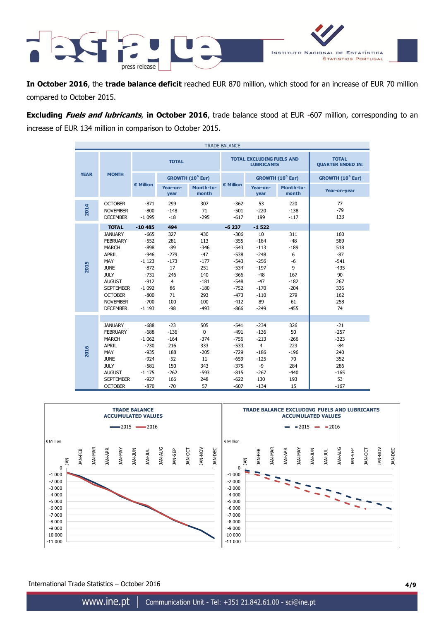

INSTITUTO NACIONAL DE ESTATÍSTICA **STATISTICS PORTUGAL** 

**In October 2016**, the **trade balance deficit** reached EUR 870 million, which stood for an increase of EUR 70 million compared to October 2015.

**Excluding Fuels and lubricants**, **in October 2016**, trade balance stood at EUR -607 million, corresponding to an increase of EUR 134 million in comparison to October 2015.

| <b>TRADE BALANCE</b> |                                                                                                                                                                                                     |                                                                                                                         |                                                                                                    |                                                                                                   |                                                                                                                      |                                                                                                            |                                                                                            |                                                                                        |
|----------------------|-----------------------------------------------------------------------------------------------------------------------------------------------------------------------------------------------------|-------------------------------------------------------------------------------------------------------------------------|----------------------------------------------------------------------------------------------------|---------------------------------------------------------------------------------------------------|----------------------------------------------------------------------------------------------------------------------|------------------------------------------------------------------------------------------------------------|--------------------------------------------------------------------------------------------|----------------------------------------------------------------------------------------|
|                      |                                                                                                                                                                                                     | <b>TOTAL</b>                                                                                                            |                                                                                                    |                                                                                                   | <b>TOTAL EXCLUDING FUELS AND</b><br><b>LUBRICANTS</b>                                                                | <b>TOTAL</b><br><b>QUARTER ENDED IN:</b>                                                                   |                                                                                            |                                                                                        |
| <b>YEAR</b>          | <b>MONTH</b>                                                                                                                                                                                        |                                                                                                                         |                                                                                                    | GROWTH (10 <sup>6</sup> Eur)                                                                      |                                                                                                                      |                                                                                                            | GROWTH (10 <sup>6</sup> Eur)                                                               | GROWTH (10 <sup>6</sup> Eur)                                                           |
|                      |                                                                                                                                                                                                     | € Million                                                                                                               | Year-on-<br>year                                                                                   | Month-to-<br>month                                                                                | € Million                                                                                                            | Year-on-<br>year                                                                                           | Month-to-<br>month                                                                         | Year-on-year                                                                           |
| 2014                 | <b>OCTOBER</b><br><b>NOVEMBER</b><br><b>DECEMBER</b>                                                                                                                                                | $-871$<br>$-800$<br>$-1095$                                                                                             | 299<br>$-148$<br>$-18$                                                                             | 307<br>71<br>$-295$                                                                               | $-362$<br>$-501$<br>$-617$                                                                                           | 53<br>$-220$<br>199                                                                                        | 220<br>$-138$<br>$-117$                                                                    | 77<br>$-79$<br>133                                                                     |
|                      | <b>TOTAL</b>                                                                                                                                                                                        | $-10485$                                                                                                                | 494                                                                                                |                                                                                                   | $-6237$                                                                                                              | $-1522$                                                                                                    |                                                                                            |                                                                                        |
| 2015                 | <b>JANUARY</b><br><b>FEBRUARY</b><br><b>MARCH</b><br><b>APRIL</b><br>MAY<br><b>JUNE</b><br><b>JULY</b><br><b>AUGUST</b><br><b>SEPTEMBER</b><br><b>OCTOBER</b><br><b>NOVEMBER</b><br><b>DECEMBER</b> | $-665$<br>$-552$<br>$-898$<br>$-946$<br>$-1123$<br>$-872$<br>$-731$<br>$-912$<br>$-1092$<br>$-800$<br>$-700$<br>$-1193$ | 327<br>281<br>$-89$<br>$-279$<br>$-173$<br>17<br>246<br>$\overline{4}$<br>86<br>71<br>100<br>$-98$ | 430<br>113<br>$-346$<br>$-47$<br>$-177$<br>251<br>140<br>$-181$<br>$-180$<br>293<br>100<br>$-493$ | $-306$<br>$-355$<br>$-543$<br>$-538$<br>$-543$<br>$-534$<br>$-366$<br>$-548$<br>$-752$<br>$-473$<br>$-412$<br>$-866$ | 10<br>$-184$<br>$-113$<br>$-248$<br>$-256$<br>$-197$<br>$-48$<br>$-47$<br>$-170$<br>$-110$<br>89<br>$-249$ | 311<br>$-48$<br>$-189$<br>6<br>$-6$<br>9<br>167<br>$-182$<br>$-204$<br>279<br>61<br>$-455$ | 160<br>589<br>518<br>$-87$<br>$-541$<br>$-435$<br>90<br>267<br>336<br>162<br>258<br>74 |
| 2016                 | <b>JANUARY</b><br><b>FEBRUARY</b><br><b>MARCH</b><br><b>APRIL</b><br>MAY<br><b>JUNE</b><br><b>JULY</b><br><b>AUGUST</b><br><b>SEPTEMBER</b><br><b>OCTOBER</b>                                       | $-688$<br>$-688$<br>$-1062$<br>$-730$<br>$-935$<br>$-924$<br>$-581$<br>$-1175$<br>$-927$<br>$-870$                      | $-23$<br>$-136$<br>$-164$<br>216<br>188<br>$-52$<br>150<br>$-262$<br>166<br>$-70$                  | 505<br>0<br>$-374$<br>333<br>$-205$<br>11<br>343<br>$-593$<br>248<br>57                           | $-541$<br>$-491$<br>$-756$<br>$-533$<br>$-729$<br>$-659$<br>$-375$<br>$-815$<br>$-622$<br>$-607$                     | $-234$<br>$-136$<br>$-213$<br>$\overline{4}$<br>$-186$<br>$-125$<br>-9<br>$-267$<br>130<br>$-134$          | 326<br>50<br>$-266$<br>223<br>$-196$<br>70<br>284<br>$-440$<br>193<br>15                   | $-21$<br>$-257$<br>$-323$<br>$-84$<br>240<br>352<br>286<br>$-165$<br>53<br>$-167$      |



International Trade Statistics – October 2016 **4/9**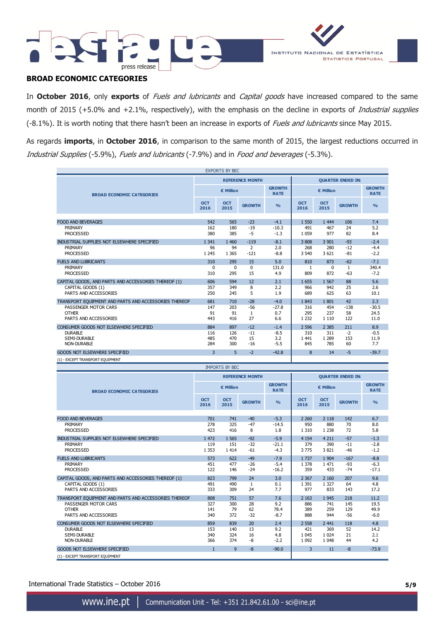



# **BROAD ECONOMIC CATEGORIES**

In **October 2016**, only **exports** of Fuels and lubricants and Capital goods have increased compared to the same month of 2015 (+5.0% and +2.1%, respectively), with the emphasis on the decline in exports of *Industrial supplies* (-8.1%). It is worth noting that there hasn't been an increase in exports of Fuels and lubricants since May 2015.

As regards **imports**, in **October 2016**, in comparison to the same month of 2015, the largest reductions occurred in Industrial Supplies (-5.9%), Fuels and lubricants (-7.9%) and in Food and beverages (-5.3%).

| <b>EXPORTS BY BEC</b>                                 |                    |                    |                        |                              |                          |                    |                              |                |
|-------------------------------------------------------|--------------------|--------------------|------------------------|------------------------------|--------------------------|--------------------|------------------------------|----------------|
|                                                       |                    |                    | <b>REFERENCE MONTH</b> |                              | <b>OUARTER ENDED IN:</b> |                    |                              |                |
| <b>BROAD ECONOMIC CATEGORIES</b>                      | € Million          |                    |                        | <b>GROWTH</b><br><b>RATE</b> |                          | € Million          | <b>GROWTH</b><br><b>RATE</b> |                |
|                                                       | <b>OCT</b><br>2016 | <b>OCT</b><br>2015 | <b>GROWTH</b>          | O <sub>0</sub>               | <b>OCT</b><br>2016       | <b>OCT</b><br>2015 | <b>GROWTH</b>                | O <sub>0</sub> |
|                                                       |                    |                    |                        |                              |                          |                    |                              |                |
| <b>FOOD AND BEVERAGES</b>                             | 542                | 565                | $-23$                  | $-4.1$                       | 1 5 5 0                  | 1 4 4 4            | 106                          | 7.4            |
| PRIMARY                                               | 162                | 180                | $-19$                  | $-10.3$                      | 491                      | 467                | 24                           | 5.2            |
| <b>PROCESSED</b>                                      | 380                | 385                | $-5$                   | $-1.3$                       | 1 0 5 9                  | 977                | 82                           | 8.4            |
| INDUSTRIAL SUPPLIES NOT ELSEWHERE SPECIFIED           | 1 3 4 1            | 1 4 6 0            | $-119$                 | $-8.1$                       | 3 808                    | 3 9 0 1            | $-93$                        | $-2.4$         |
| PRIMARY                                               | 96                 | 94                 | $\overline{2}$         | 2.0                          | 268                      | 280                | $-12$                        | $-4.4$         |
| <b>PROCESSED</b>                                      | 1 2 4 5            | 1 3 6 5            | $-121$                 | $-8.8$                       | 3 5 4 0                  | 3 6 21             | $-81$                        | $-2.2$         |
|                                                       |                    |                    |                        |                              |                          |                    |                              |                |
| <b>FUELS AND LUBRICANTS</b>                           | 310                | 295                | 15                     | 5.0                          | 810                      | 873                | $-62$                        | $-7.1$         |
| PRIMARY                                               | 0                  | 0                  | 0                      | 131.0                        | 1                        | 0                  | $\mathbf{1}$                 | 340.4          |
| <b>PROCESSED</b>                                      | 310                | 295                | 15                     | 4.9                          | 809                      | 872                | $-63$                        | $-7.2$         |
| CAPITAL GOODS, AND PARTS AND ACCESSORIES THEREOF (1)  | 606                | 594                | 12                     | 2.1                          | 1655                     | 1 5 6 7            | 88                           | 5.6            |
| CAPITAL GOODS (1)                                     | 357                | 349                | 8                      | 2.2                          | 966                      | 942                | 25                           | 2.6            |
| PARTS AND ACCESSORIES                                 | 250                | 245                | 5                      | 1.9                          | 689                      | 625                | 63                           | 10.1           |
|                                                       |                    |                    |                        |                              |                          |                    |                              |                |
| TRANSPORT EQUIPMENT AND PARTS AND ACCESSORIES THEREOF | 681                | 710                | $-28$                  | $-4.0$                       | 1843                     | 1801               | 42                           | 2.3            |
| PASSENGER MOTOR CARS                                  | 147                | 203                | $-56$                  | $-27.8$                      | 316                      | 454                | $-138$                       | $-30.5$        |
| <b>OTHER</b>                                          | 91                 | 91                 | $\mathbf{1}$           | 0.7                          | 295                      | 237                | 58                           | 24.5           |
| PARTS AND ACCESSORIES                                 | 443                | 416                | 27                     | 6.6                          | 1 2 3 2                  | 1 1 1 0            | 122                          | 11.0           |
| CONSUMER GOODS NOT ELSEWHERE SPECIFIED                | 884                | 897                | $-12$                  | $-1.4$                       | 2 5 9 6                  | 2 3 8 5            | 211                          | 8.9            |
| <b>DURABLE</b>                                        | 116                | 126                | $-11$                  | $-8.5$                       | 310                      | 311                | $-2$                         | $-0.5$         |
| SEMI-DURABLE                                          | 485                | 470                | 15                     | 3.2                          | 1 4 4 1                  | 1 2 8 9            | 153                          | 11.9           |
| <b>NON-DURABLE</b>                                    | 284                | 300                | $-16$                  | $-5.5$                       | 845                      | 785                | 60                           | 7.7            |
| <b>GOODS NOT ELSEWHERE SPECIFIED</b>                  | 3                  | 5                  | $-2$                   | $-42.8$                      | 8                        | 14                 | $-5$                         | $-39.7$        |
| (1) - EXCEPT TRANSPORT EQUIPMENT                      |                    |                    |                        |                              |                          |                    |                              |                |

|                                                       |                    | <b>IMPORTS BY BEC</b> |                        |                              |                          |                    |               |                              |
|-------------------------------------------------------|--------------------|-----------------------|------------------------|------------------------------|--------------------------|--------------------|---------------|------------------------------|
|                                                       |                    |                       | <b>REFERENCE MONTH</b> |                              | <b>OUARTER ENDED IN:</b> |                    |               |                              |
| <b>BROAD ECONOMIC CATEGORIES</b>                      |                    | € Million             |                        | <b>GROWTH</b><br><b>RATE</b> | € Million                |                    |               | <b>GROWTH</b><br><b>RATE</b> |
|                                                       | <b>OCT</b><br>2016 | <b>OCT</b><br>2015    | <b>GROWTH</b>          | O <sub>0</sub>               | <b>OCT</b><br>2016       | <b>OCT</b><br>2015 | <b>GROWTH</b> | O <sub>0</sub>               |
|                                                       |                    |                       |                        |                              |                          |                    |               |                              |
| <b>FOOD AND BEVERAGES</b>                             | 701                | 741                   | $-40$                  | $-5.3$                       | 2 2 6 0                  | 2 1 1 8            | 142           | 6.7                          |
| PRIMARY                                               | 278                | 325                   | $-47$                  | $-14.5$                      | 950                      | 880                | 70            | 8.0                          |
| <b>PROCESSED</b>                                      | 423                | 416                   | 8                      | 1.8                          | 1 3 1 0                  | 1 2 3 8            | 72            | 5.8                          |
| INDUSTRIAL SUPPLIES NOT ELSEWHERE SPECIFIED           | 1 472              | 1 5 6 5               | $-92$                  | $-5.9$                       | 4 1 5 4                  | 4 2 1 1            | $-57$         | $-1.3$                       |
| PRIMARY                                               | 119                | 151                   | $-32$                  | $-21.1$                      | 379                      | 390                | $-11$         | $-2.8$                       |
| <b>PROCESSED</b>                                      | 1 3 5 3            | 1 4 1 4               | $-61$                  | $-4.3$                       | 3775                     | 3821               | $-46$         | $-1.2$                       |
| <b>FUELS AND LUBRICANTS</b>                           | 573                | 622                   | $-49$                  | $-7.9$                       | 1737                     | 1 9 0 4            | $-167$        | $-8.8$                       |
| PRIMARY                                               | 451                | 477                   | $-26$                  | $-5.4$                       | 1 3 7 8                  | 1 4 7 1            | $-93$         | $-6.3$                       |
| <b>PROCESSED</b>                                      | 122                | 146                   | $-24$                  | $-16.2$                      | 359                      | 433                | $-74$         | $-17.1$                      |
| CAPITAL GOODS, AND PARTS AND ACCESSORIES THEREOF (1)  | 823                | 799                   | 24                     | 3.0                          | 2 3 6 7                  | 2 1 6 0            | 207           | 9.6                          |
| CAPITAL GOODS (1)                                     | 491                | 490                   | 1                      | 0.1                          | 1 3 9 1                  | 1 3 2 7            | 64            | 4.8                          |
| PARTS AND ACCESSORIES                                 | 333                | 309                   | 24                     | 7.7                          | 977                      | 833                | 143           | 17.2                         |
| TRANSPORT EQUIPMENT AND PARTS AND ACCESSORIES THEREOF | 808                | 751                   | 57                     | 7.6                          | 2 1 6 3                  | 1 9 4 5            | 218           | 11.2                         |
| PASSENGER MOTOR CARS                                  | 327                | 300                   | 28                     | 9.2                          | 886                      | 741                | 145           | 19.5                         |
| <b>OTHER</b>                                          | 141                | 79                    | 62                     | 78.4                         | 389                      | 259                | 129           | 49.9                         |
| PARTS AND ACCESSORIES                                 | 340                | 372                   | $-32$                  | $-8.7$                       | 888                      | 944                | $-56$         | $-6.0$                       |
| CONSUMER GOODS NOT ELSEWHERE SPECIFIED                | 859                | 839                   | 20                     | 2.4                          | 2 5 5 8                  | 2 4 4 1            | 118           | 4.8                          |
| <b>DURABLE</b>                                        | 153                | 140                   | 13                     | 9.2                          | 421                      | 369                | 52            | 14.2                         |
| <b>SEMI-DURABLE</b>                                   | 340                | 324                   | 16                     | 4.8                          | 1 0 4 5                  | 1 0 2 4            | 21            | 2.1                          |
| NON-DURABLE                                           | 366                | 374                   | -8                     | $-2.2$                       | 1 0 9 2                  | 1 0 4 8            | 44            | 4.2                          |
| <b>GOODS NOT ELSEWHERE SPECIFIED</b>                  | $\mathbf{1}$       | 9                     | $-8$                   | $-90.0$                      | 3                        | 11                 | $-8$          | $-73.9$                      |
| (1) - EXCEPT TRANSPORT EQUIPMENT                      |                    |                       |                        |                              |                          |                    |               |                              |

International Trade Statistics – October 2016 **5/9**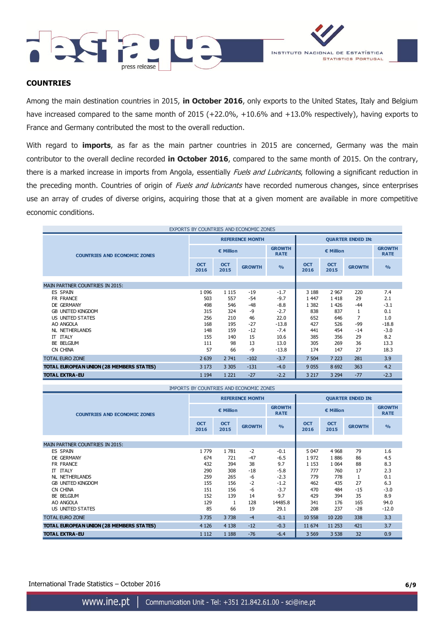



## **COUNTRIES**

Among the main destination countries in 2015, **in October 2016**, only exports to the United States, Italy and Belgium have increased compared to the same month of 2015 (+22.0%, +10.6% and +13.0% respectively), having exports to France and Germany contributed the most to the overall reduction.

With regard to **imports**, as far as the main partner countries in 2015 are concerned, Germany was the main contributor to the overall decline recorded **in October 2016**, compared to the same month of 2015. On the contrary, there is a marked increase in imports from Angola, essentially *Fuels and Lubricants*, following a significant reduction in the preceding month. Countries of origin of Fuels and lubricants have recorded numerous changes, since enterprises use an array of crudes of diverse origins, acquiring those that at a given moment are available in more competitive economic conditions.

| EXPORTS BY COUNTRIES AND ECONOMIC ZONES  |                    |                    |                        |                              |                          |                    |                              |               |
|------------------------------------------|--------------------|--------------------|------------------------|------------------------------|--------------------------|--------------------|------------------------------|---------------|
|                                          |                    |                    | <b>REFERENCE MONTH</b> |                              | <b>QUARTER ENDED IN:</b> |                    |                              |               |
| <b>COUNTRIES AND ECONOMIC ZONES</b>      | € Million          |                    |                        | <b>GROWTH</b><br><b>RATE</b> | € Million                |                    | <b>GROWTH</b><br><b>RATE</b> |               |
|                                          | <b>OCT</b><br>2016 | <b>OCT</b><br>2015 | <b>GROWTH</b>          | $\frac{0}{0}$                | <b>OCT</b><br>2016       | <b>OCT</b><br>2015 | <b>GROWTH</b>                | $\frac{0}{0}$ |
| <b>MAIN PARTNER COUNTRIES IN 2015:</b>   |                    |                    |                        |                              |                          |                    |                              |               |
| ES SPAIN                                 | 1 0 9 6            | 1 1 1 5            | $-19$                  | $-1.7$                       | 3 1 8 8                  | 2 9 6 7            | 220                          | 7.4           |
| FR FRANCE                                | 503                | 557                | -54                    | $-9.7$                       | 1 4 4 7                  | 1418               | 29                           | 2.1           |
| DE GERMANY                               | 498                | 546                | $-48$                  | $-8.8$                       | 1 3 8 2                  | 1426               | $-44$                        | $-3.1$        |
| <b>GB UNITED KINGDOM</b>                 | 315                | 324                | -9                     | $-2.7$                       | 838                      | 837                |                              | 0.1           |
|                                          |                    |                    |                        |                              |                          |                    | 1<br>7                       |               |
| US UNITED STATES                         | 256                | 210                | 46                     | 22.0                         | 652                      | 646                |                              | 1.0           |
| AO ANGOLA                                | 168                | 195                | $-27$                  | $-13.8$                      | 427                      | 526                | $-99$                        | $-18.8$       |
| <b>NL NETHERLANDS</b>                    | 148                | 159                | $-12$                  | $-7.4$                       | 441                      | 454                | $-14$                        | $-3.0$        |
| IT ITALY                                 | 155                | 140                | 15                     | 10.6                         | 385                      | 356                | 29                           | 8.2           |
| BE BELGIUM                               | 111                | 98                 | 13                     | 13.0                         | 305                      | 269                | 36                           | 13.3          |
| CN CHINA                                 | 57                 | 66                 | -9                     | $-13.8$                      | 174                      | 147                | 27                           | 18.3          |
| <b>TOTAL EURO ZONE</b>                   | 2 6 3 9            | 2 7 4 1            | $-102$                 | $-3.7$                       | 7 504                    | 7 2 2 3            | 281                          | 3.9           |
| TOTAL EUROPEAN UNION (28 MEMBERS STATES) | 3 1 7 3            | 3 3 0 5            | $-131$                 | $-4.0$                       | 9 0 5 5                  | 8 6 9 2            | 363                          | 4.2           |
| <b>TOTAL EXTRA-EU</b>                    | 1 1 9 4            | 1 2 2 1            | $-27$                  | $-2.2$                       | 3 2 1 7                  | 3 2 9 4            | $-77$                        | $-2.3$        |

| IMPORTS BY COUNTRIES AND ECONOMIC ZONES  |                    |                        |               |                              |                    |                    |               |                              |
|------------------------------------------|--------------------|------------------------|---------------|------------------------------|--------------------|--------------------|---------------|------------------------------|
|                                          |                    | <b>REFERENCE MONTH</b> |               | <b>QUARTER ENDED IN:</b>     |                    |                    |               |                              |
| <b>COUNTRIES AND ECONOMIC ZONES</b>      | € Million          |                        |               | <b>GROWTH</b><br><b>RATE</b> | € Million          |                    |               | <b>GROWTH</b><br><b>RATE</b> |
|                                          | <b>OCT</b><br>2016 | <b>OCT</b><br>2015     | <b>GROWTH</b> | $\frac{0}{0}$                | <b>OCT</b><br>2016 | <b>OCT</b><br>2015 | <b>GROWTH</b> | $\frac{9}{6}$                |
| <b>MAIN PARTNER COUNTRIES IN 2015:</b>   |                    |                        |               |                              |                    |                    |               |                              |
| ES SPAIN                                 | 1779               | 1781                   | $-2$          | $-0.1$                       | 5 0 4 7            | 4 9 6 8            | 79            | 1.6                          |
| DE GERMANY                               | 674                | 721                    | $-47$         | $-6.5$                       | 1972               | 1886               | 86            | 4.5                          |
| FR FRANCE                                | 432                | 394                    | 38            | 9.7                          | 1 1 5 3            | 1 0 6 4            | 88            | 8.3                          |
| <b>IT ITALY</b>                          | 290                | 308                    | $-18$         | $-5.8$                       | 777                | 760                | 17            | 2.3                          |
| NL NETHERLANDS                           | 259                | 265                    | -6            | $-2.3$                       | 779                | 778                | 1             | 0.1                          |
| <b>GB UNITED KINGDOM</b>                 | 155                | 156                    | $-2$          | $-1.2$                       | 462                | 435                | 27            | 6.3                          |
| CN CHINA                                 | 151                | 156                    | -6            | $-3.7$                       | 470                | 484                | $-15$         | $-3.0$                       |
| BE BELGIUM                               | 152                | 139                    | 14            | 9.7                          | 429                | 394                | 35            | 8.9                          |
| AO ANGOLA                                | 129                | 1                      | 128           | 14485.8                      | 341                | 176                | 165           | 94.0                         |
| US UNITED STATES                         | 85                 | 66                     | 19            | 29.1                         | 208                | 237                | $-28$         | $-12.0$                      |
| <b>TOTAL EURO ZONE</b>                   | 3735               | 3 7 3 8                | $-4$          | $-0.1$                       | 10 558             | 10 220             | 338           | 3.3                          |
| TOTAL EUROPEAN UNION (28 MEMBERS STATES) | 4 1 2 6            | 4 1 3 8                | $-12$         | $-0.3$                       | 11 674             | 11 2 5 3           | 421           | 3.7                          |
| <b>TOTAL EXTRA-EU</b>                    | 1 1 1 2            | 1 1 8 8                | $-76$         | $-6.4$                       | 3 5 6 9            | 3 5 3 8            | 32            | 0.9                          |

International Trade Statistics – October 2016 **6/9**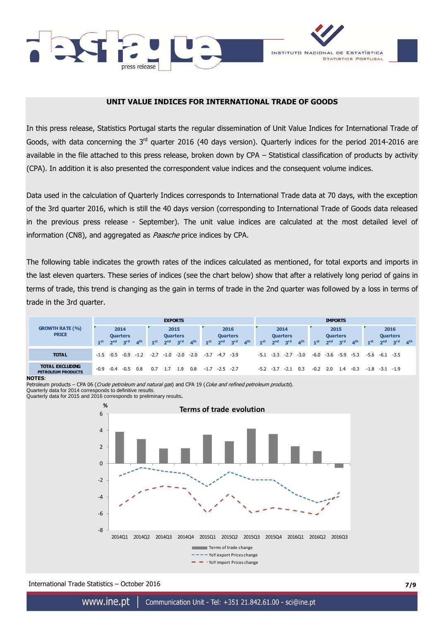



## **UNIT VALUE INDICES FOR INTERNATIONAL TRADE OF GOODS**

In this press release, Statistics Portugal starts the regular dissemination of Unit Value Indices for International Trade of Goods, with data concerning the 3<sup>rd</sup> quarter 2016 (40 days version). Quarterly indices for the period 2014-2016 are available in the file attached to this press release, broken down by CPA – Statistical classification of products by activity (CPA). In addition it is also presented the correspondent value indices and the consequent volume indices.

Data used in the calculation of Quarterly Indices corresponds to International Trade data at 70 days, with the exception of the 3rd quarter 2016, which is still the 40 days version (corresponding to International Trade of Goods data released in the previous press release - September). The unit value indices are calculated at the most detailed level of information (CN8), and aggregated as *Paasche* price indices by CPA.

The following table indicates the growth rates of the indices calculated as mentioned, for total exports and imports in the last eleven quarters. These series of indices (see the chart below) show that after a relatively long period of gains in terms of trade, this trend is changing as the gain in terms of trade in the 2nd quarter was followed by a loss in terms of trade in the 3rd quarter.



#### **NOTES**:

Petroleum products - CPA 06 (Crude petroleum and natural gas) and CPA 19 (Coke and refined petroleum products).

Quarterly data for 2014 corresponds to definitive results. Quarterly data for 2015 and 2016 corresponds to preliminary results**.**



International Trade Statistics – October 2016 **7/9**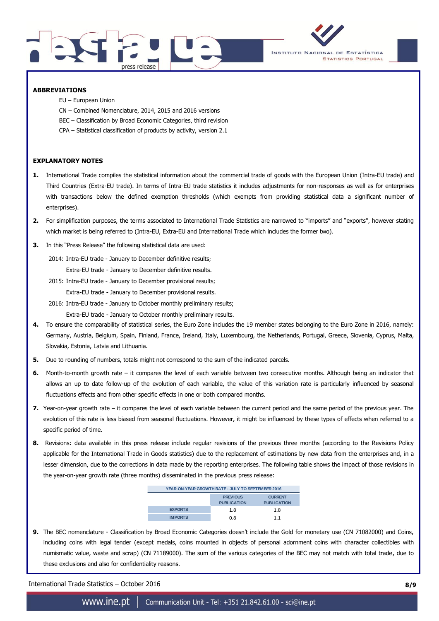



### **ABBREVIATIONS**

- EU European Union
- CN Combined Nomenclature, 2014, 2015 and 2016 versions
- BEC Classification by Broad Economic Categories, third revision
- CPA Statistical classification of products by activity, version 2.1

## **EXPLANATORY NOTES**

- **1.** International Trade compiles the statistical information about the commercial trade of goods with the European Union (Intra-EU trade) and Third Countries (Extra-EU trade). In terms of Intra-EU trade statistics it includes adjustments for non-responses as well as for enterprises with transactions below the defined exemption thresholds (which exempts from providing statistical data a significant number of enterprises).
- **2.** For simplification purposes, the terms associated to International Trade Statistics are narrowed to "imports" and "exports", however stating which market is being referred to (Intra-EU, Extra-EU and International Trade which includes the former two).
- **3.** In this "Press Release" the following statistical data are used:
	- 2014: Intra-EU trade January to December definitive results; Extra-EU trade - January to December definitive results.
	- 2015: Intra-EU trade January to December provisional results;

Extra-EU trade - January to December provisional results.

2016: Intra-EU trade - January to October monthly preliminary results;

Extra-EU trade - January to October monthly preliminary results.

- **4.** To ensure the comparability of statistical series, the Euro Zone includes the 19 member states belonging to the Euro Zone in 2016, namely: Germany, Austria, Belgium, Spain, Finland, France, Ireland, Italy, Luxembourg, the Netherlands, Portugal, Greece, Slovenia, Cyprus, Malta, Slovakia, Estonia, Latvia and Lithuania.
- **5.** Due to rounding of numbers, totals might not correspond to the sum of the indicated parcels.
- **6.** Month-to-month growth rate it compares the level of each variable between two consecutive months. Although being an indicator that allows an up to date follow-up of the evolution of each variable, the value of this variation rate is particularly influenced by seasonal fluctuations effects and from other specific effects in one or both compared months.
- **7.** Year-on-year growth rate it compares the level of each variable between the current period and the same period of the previous year. The evolution of this rate is less biased from seasonal fluctuations. However, it might be influenced by these types of effects when referred to a specific period of time.
- **8.** Revisions: data available in this press release include regular revisions of the previous three months (according to the Revisions Policy applicable for the International Trade in Goods statistics) due to the replacement of estimations by new data from the enterprises and, in a lesser dimension, due to the corrections in data made by the reporting enterprises. The following table shows the impact of those revisions in the year-on-year growth rate (three months) disseminated in the previous press release:

| YEAR-ON-YEAR GROWTH RATE - JULY TO SEPTEMBER 2016 |                                       |                                      |  |  |  |  |  |
|---------------------------------------------------|---------------------------------------|--------------------------------------|--|--|--|--|--|
|                                                   | <b>PREVIOUS</b><br><b>PUBLICATION</b> | <b>CURRENT</b><br><b>PUBLICATION</b> |  |  |  |  |  |
| <b>EXPORTS</b>                                    | 18                                    | 1.8                                  |  |  |  |  |  |
| <b>IMPORTS</b>                                    | 0 8                                   | 11                                   |  |  |  |  |  |

**9.** The BEC nomenclature - Classification by Broad Economic Categories doesn't include the Gold for monetary use (CN 71082000) and Coins, including coins with legal tender (except medals, coins mounted in objects of personal adornment coins with character collectibles with numismatic value, waste and scrap) (CN 71189000). The sum of the various categories of the BEC may not match with total trade, due to these exclusions and also for confidentiality reasons.

International Trade Statistics – October 2016 **8/9**